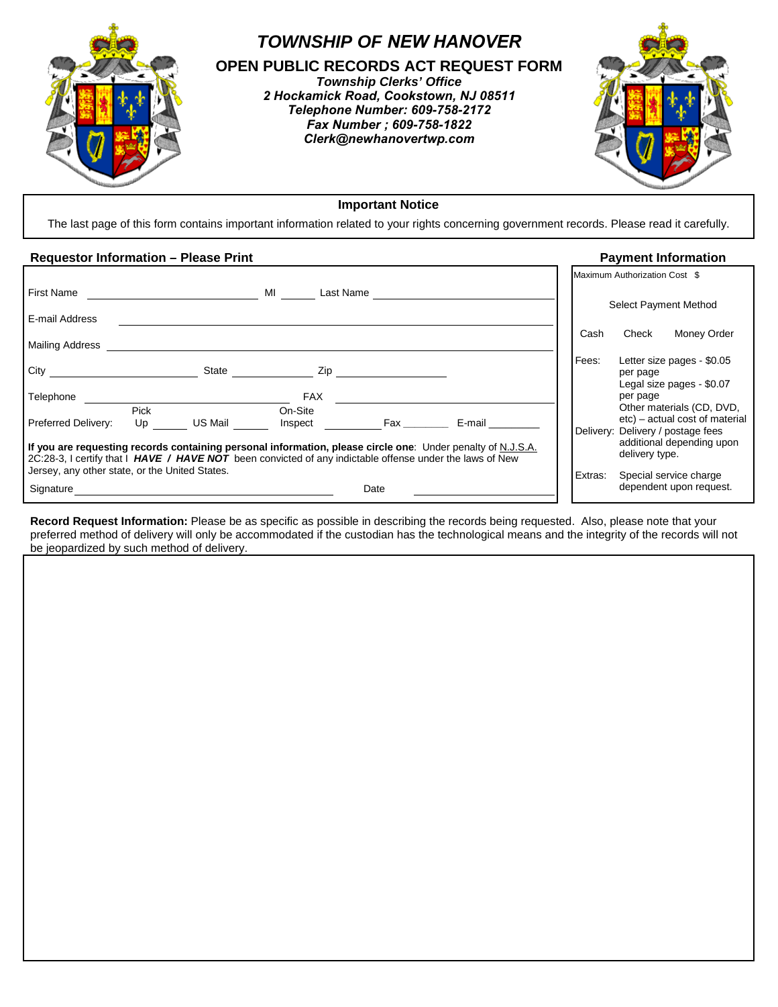

# **Important Notice**

The last page of this form contains important information related to your rights concerning government records. Please read it carefully.

# **Requestor Information – Please Print Payment Information**

|                                                                                                                                                                                                                                                                           |                   |         |                    |           |        |         | Maximum Authorization Cost \$                                                                    |
|---------------------------------------------------------------------------------------------------------------------------------------------------------------------------------------------------------------------------------------------------------------------------|-------------------|---------|--------------------|-----------|--------|---------|--------------------------------------------------------------------------------------------------|
| <b>First Name</b>                                                                                                                                                                                                                                                         |                   | MI      |                    | Last Name |        |         |                                                                                                  |
| E-mail Address                                                                                                                                                                                                                                                            |                   |         |                    |           |        |         | Select Payment Method                                                                            |
| <b>Mailing Address</b>                                                                                                                                                                                                                                                    |                   |         |                    |           |        | Cash    | Check<br>Money Order                                                                             |
| City                                                                                                                                                                                                                                                                      |                   | State   | Zip                |           |        | Fees:   | Letter size pages - \$0.05<br>per page<br>Legal size pages - \$0.07                              |
| Telephone                                                                                                                                                                                                                                                                 |                   |         | <b>FAX</b>         |           |        |         | per page                                                                                         |
| <b>Preferred Delivery:</b>                                                                                                                                                                                                                                                | <b>Pick</b><br>Up | US Mail | On-Site<br>Inspect |           | E-mail |         | Other materials (CD, DVD,<br>etc) – actual cost of material<br>Delivery: Delivery / postage fees |
| If you are requesting records containing personal information, please circle one: Under penalty of N.J.S.A.<br>2C:28-3, I certify that I HAVE / HAVE NOT been convicted of any indictable offense under the laws of New<br>Jersey, any other state, or the United States. |                   |         |                    |           |        |         | additional depending upon<br>delivery type.                                                      |
| Signature                                                                                                                                                                                                                                                                 |                   |         |                    | Date      |        | Extras: | Special service charge<br>dependent upon request.                                                |

**Record Request Information:** Please be as specific as possible in describing the records being requested. Also, please note that your preferred method of delivery will only be accommodated if the custodian has the technological means and the integrity of the records will not be jeopardized by such method of delivery.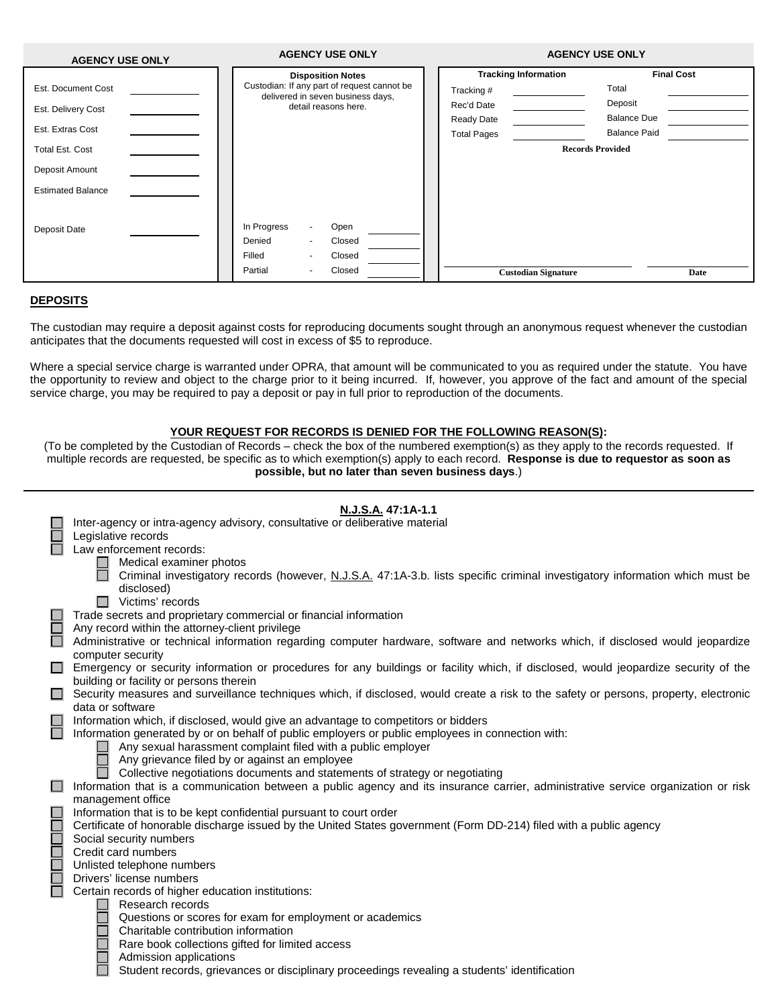| <b>AGENCY USE ONLY</b>   | <b>AGENCY USE ONLY</b>                                                           | <b>AGENCY USE ONLY</b>      |                     |  |
|--------------------------|----------------------------------------------------------------------------------|-----------------------------|---------------------|--|
|                          | <b>Disposition Notes</b>                                                         | <b>Tracking Information</b> | <b>Final Cost</b>   |  |
| Est. Document Cost       | Custodian: If any part of request cannot be<br>delivered in seven business days, | Tracking #                  | Total               |  |
| Est. Delivery Cost       | detail reasons here.                                                             | Rec'd Date                  | Deposit             |  |
|                          |                                                                                  | Ready Date                  | <b>Balance Due</b>  |  |
| Est. Extras Cost         |                                                                                  | <b>Total Pages</b>          | <b>Balance Paid</b> |  |
| <b>Total Est. Cost</b>   |                                                                                  | <b>Records Provided</b>     |                     |  |
| Deposit Amount           |                                                                                  |                             |                     |  |
| <b>Estimated Balance</b> |                                                                                  |                             |                     |  |
|                          |                                                                                  |                             |                     |  |
| Deposit Date             | In Progress<br>Open<br>$\sim$                                                    |                             |                     |  |
|                          | Denied<br>Closed<br>$\tilde{\phantom{a}}$                                        |                             |                     |  |
|                          | Closed<br>Filled<br>$\overline{\phantom{a}}$                                     |                             |                     |  |
|                          | Partial<br>Closed<br>٠                                                           | <b>Custodian Signature</b>  | Date                |  |

# **DEPOSITS**

The custodian may require a deposit against costs for reproducing documents sought through an anonymous request whenever the custodian anticipates that the documents requested will cost in excess of \$5 to reproduce.

Where a special service charge is warranted under OPRA, that amount will be communicated to you as required under the statute. You have the opportunity to review and object to the charge prior to it being incurred. If, however, you approve of the fact and amount of the special service charge, you may be required to pay a deposit or pay in full prior to reproduction of the documents.

#### **YOUR REQUEST FOR RECORDS IS DENIED FOR THE FOLLOWING REASON(S):**

(To be completed by the Custodian of Records – check the box of the numbered exemption(s) as they apply to the records requested. If multiple records are requested, be specific as to which exemption(s) apply to each record. **Response is due to requestor as soon as possible, but no later than seven business days**.)

#### **N.J.S.A. 47:1A-1.1**

|                  | Inter-agency or intra-agency advisory, consultative or deliberative material                                                          |
|------------------|---------------------------------------------------------------------------------------------------------------------------------------|
|                  | Legislative records                                                                                                                   |
|                  | Law enforcement records:                                                                                                              |
|                  | Medical examiner photos                                                                                                               |
|                  | Criminal investigatory records (however, N.J.S.A. 47:1A-3.b. lists specific criminal investigatory information which must be          |
|                  | disclosed)                                                                                                                            |
|                  | Victims' records<br>П                                                                                                                 |
|                  | Trade secrets and proprietary commercial or financial information                                                                     |
|                  | Any record within the attorney-client privilege                                                                                       |
|                  | Administrative or technical information regarding computer hardware, software and networks which, if disclosed would jeopardize       |
|                  | computer security                                                                                                                     |
|                  | Emergency or security information or procedures for any buildings or facility which, if disclosed, would jeopardize security of the   |
|                  | building or facility or persons therein                                                                                               |
|                  | Security measures and surveillance techniques which, if disclosed, would create a risk to the safety or persons, property, electronic |
|                  | data or software                                                                                                                      |
|                  | Information which, if disclosed, would give an advantage to competitors or bidders                                                    |
| <b>The State</b> | Information generated by or on behalf of public employers or public employees in connection with:                                     |
|                  | Any sexual harassment complaint filed with a public employer                                                                          |
|                  | Any grievance filed by or against an employee                                                                                         |
|                  | Collective negotiations documents and statements of strategy or negotiating                                                           |
| ш                | Information that is a communication between a public agency and its insurance carrier, administrative service organization or risk    |
|                  | management office                                                                                                                     |
|                  | Information that is to be kept confidential pursuant to court order                                                                   |
|                  | Certificate of honorable discharge issued by the United States government (Form DD-214) filed with a public agency                    |
|                  | Social security numbers                                                                                                               |
|                  | Credit card numbers                                                                                                                   |
|                  | Unlisted telephone numbers                                                                                                            |
|                  | Drivers' license numbers                                                                                                              |
|                  | Certain records of higher education institutions:                                                                                     |
|                  | Research records                                                                                                                      |
|                  | Questions or scores for exam for employment or academics                                                                              |
|                  | Charitable contribution information                                                                                                   |
|                  | Rare book collections gifted for limited access                                                                                       |
|                  | Admission applications                                                                                                                |
|                  | Student records, grievances or disciplinary proceedings revealing a students' identification                                          |
|                  |                                                                                                                                       |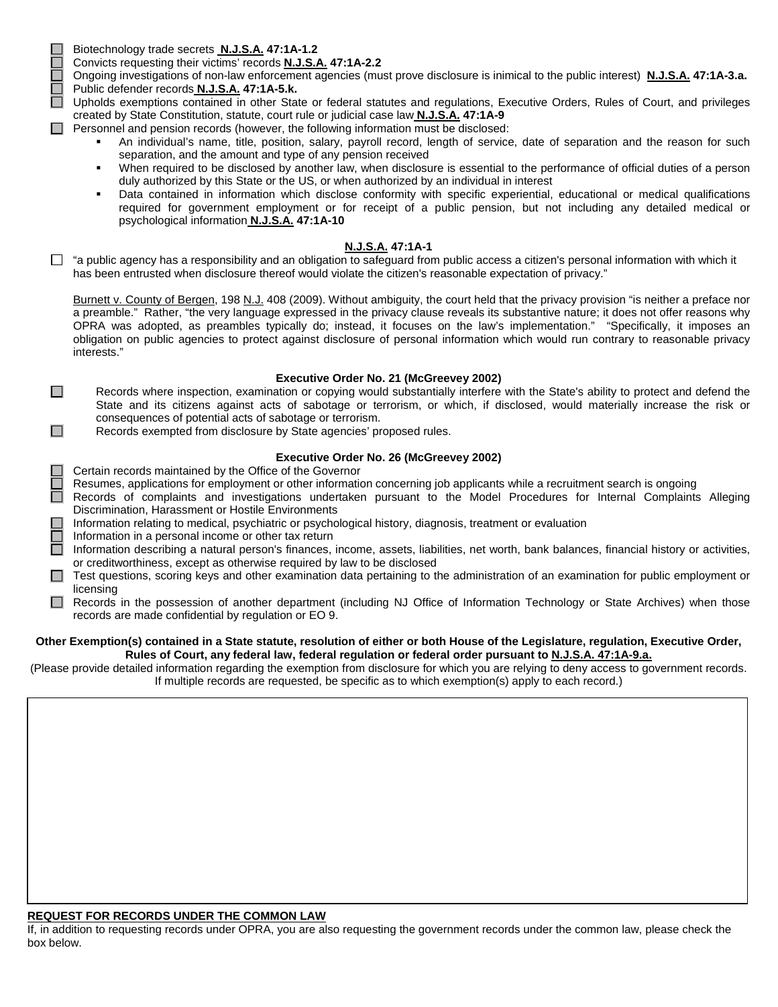$\Box$ 

 $\Box$ 

Biotechnology trade secrets **N.J.S.A. 47:1A-1.2**

Convicts requesting their victims' records **N.J.S.A. 47:1A-2.2**

Ongoing investigations of non-law enforcement agencies (must prove disclosure is inimical to the public interest) **N.J.S.A. 47:1A-3.a.** Public defender records **N.J.S.A. 47:1A-5.k.**

□ Upholds exemptions contained in other State or federal statutes and regulations, Executive Orders, Rules of Court, and privileges created by State Constitution, statute, court rule or judicial case law **N.J.S.A. 47:1A-9**

- $\Box$  Personnel and pension records (however, the following information must be disclosed:
	- An individual's name, title, position, salary, payroll record, length of service, date of separation and the reason for such separation, and the amount and type of any pension received
	- When required to be disclosed by another law, when disclosure is essential to the performance of official duties of a person duly authorized by this State or the US, or when authorized by an individual in interest
	- Data contained in information which disclose conformity with specific experiential, educational or medical qualifications required for government employment or for receipt of a public pension, but not including any detailed medical or psychological information **N.J.S.A. 47:1A-10**

# **N.J.S.A. 47:1A-1**

 $\Box$  "a public agency has a responsibility and an obligation to safeguard from public access a citizen's personal information with which it has been entrusted when disclosure thereof would violate the citizen's reasonable expectation of privacy."

Burnett v. County of Bergen, 198 N.J. 408 (2009). Without ambiguity, the court held that the privacy provision "is neither a preface nor a preamble." Rather, "the very language expressed in the privacy clause reveals its substantive nature; it does not offer reasons why OPRA was adopted, as preambles typically do; instead, it focuses on the law's implementation." "Specifically, it imposes an obligation on public agencies to protect against disclosure of personal information which would run contrary to reasonable privacy interests."

#### **Executive Order No. 21 (McGreevey 2002)**

Records where inspection, examination or copying would substantially interfere with the State's ability to protect and defend the State and its citizens against acts of sabotage or terrorism, or which, if disclosed, would materially increase the risk or consequences of potential acts of sabotage or terrorism.

Records exempted from disclosure by State agencies' proposed rules.

# **Executive Order No. 26 (McGreevey 2002)**

 $\Box$  Certain records maintained by the Office of the Governor

Resumes, applications for employment or other information concerning job applicants while a recruitment search is ongoing

- Records of complaints and investigations undertaken pursuant to the Model Procedures for Internal Complaints Alleging Discrimination, Harassment or Hostile Environments
- Information relating to medical, psychiatric or psychological history, diagnosis, treatment or evaluation

Information in a personal income or other tax return

- Information describing a natural person's finances, income, assets, liabilities, net worth, bank balances, financial history or activities, or creditworthiness, except as otherwise required by law to be disclosed
- $\Box$  Test questions, scoring keys and other examination data pertaining to the administration of an examination for public employment or licensing
- Records in the possession of another department (including NJ Office of Information Technology or State Archives) when those records are made confidential by regulation or EO 9.

#### **Other Exemption(s) contained in a State statute, resolution of either or both House of the Legislature, regulation, Executive Order, Rules of Court, any federal law, federal regulation or federal order pursuant to N.J.S.A. 47:1A-9.a.**

(Please provide detailed information regarding the exemption from disclosure for which you are relying to deny access to government records. If multiple records are requested, be specific as to which exemption(s) apply to each record.)

# **REQUEST FOR RECORDS UNDER THE COMMON LAW**

If, in addition to requesting records under OPRA, you are also requesting the government records under the common law, please check the box below.